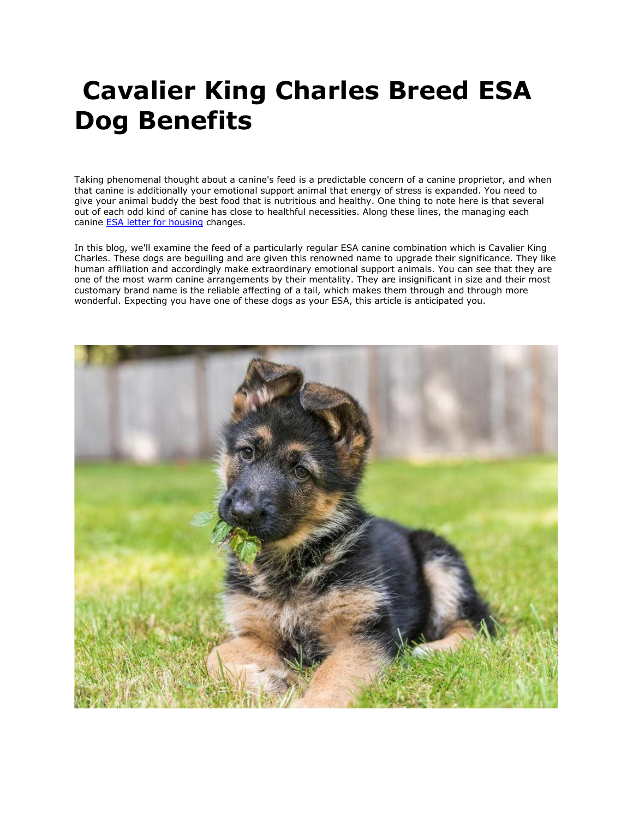# **Cavalier King Charles Breed ESA Dog Benefits**

Taking phenomenal thought about a canine's feed is a predictable concern of a canine proprietor, and when that canine is additionally your emotional support animal that energy of stress is expanded. You need to give your animal buddy the best food that is nutritious and healthy. One thing to note here is that several out of each odd kind of canine has close to healthful necessities. Along these lines, the managing each canine **[ESA letter for housing](https://myesaletter.net/) changes.** 

In this blog, we'll examine the feed of a particularly regular ESA canine combination which is Cavalier King Charles. These dogs are beguiling and are given this renowned name to upgrade their significance. They like human affiliation and accordingly make extraordinary emotional support animals. You can see that they are one of the most warm canine arrangements by their mentality. They are insignificant in size and their most customary brand name is the reliable affecting of a tail, which makes them through and through more wonderful. Expecting you have one of these dogs as your ESA, this article is anticipated you.